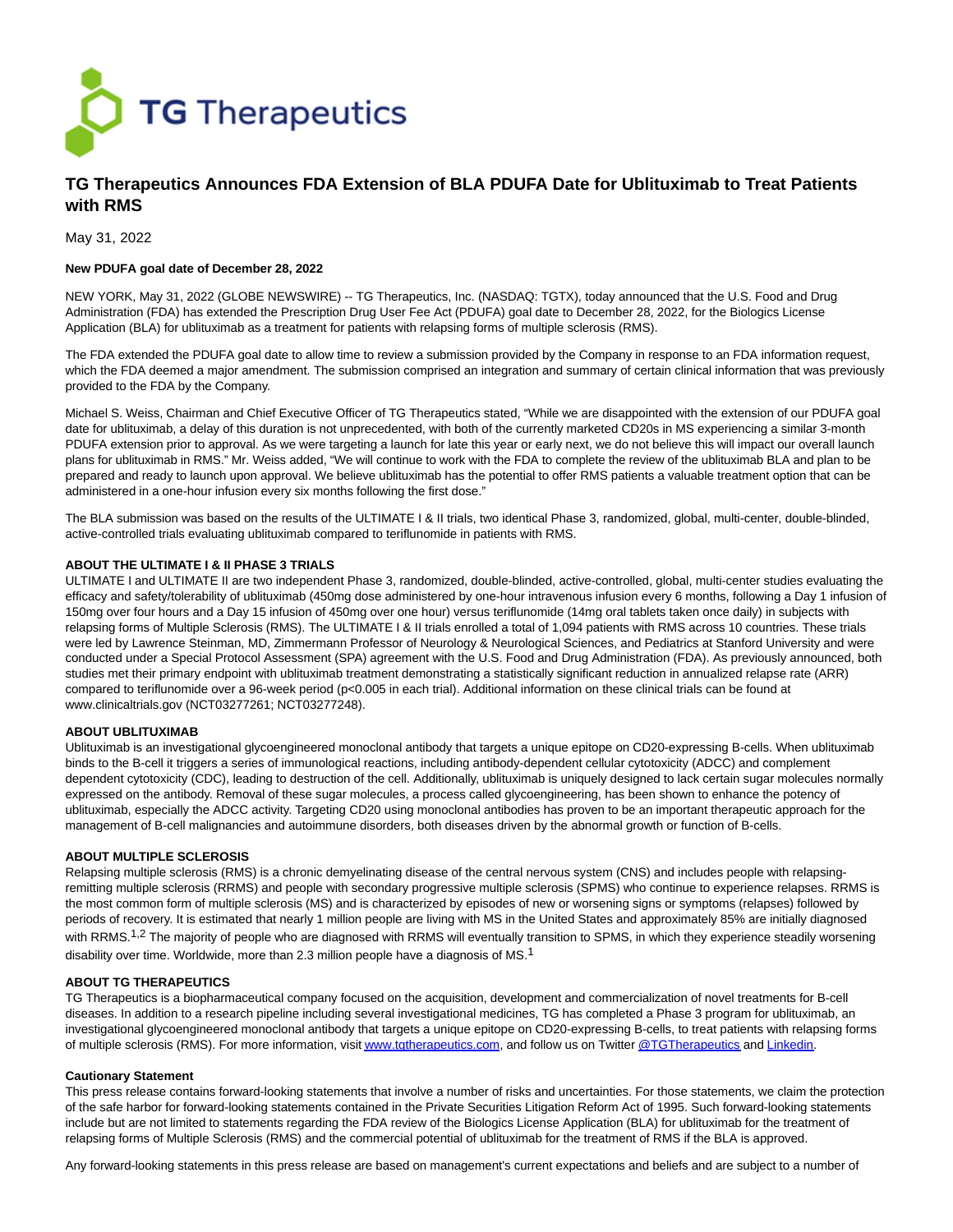

# **TG Therapeutics Announces FDA Extension of BLA PDUFA Date for Ublituximab to Treat Patients with RMS**

May 31, 2022

## **New PDUFA goal date of December 28, 2022**

NEW YORK, May 31, 2022 (GLOBE NEWSWIRE) -- TG Therapeutics, Inc. (NASDAQ: TGTX), today announced that the U.S. Food and Drug Administration (FDA) has extended the Prescription Drug User Fee Act (PDUFA) goal date to December 28, 2022, for the Biologics License Application (BLA) for ublituximab as a treatment for patients with relapsing forms of multiple sclerosis (RMS).

The FDA extended the PDUFA goal date to allow time to review a submission provided by the Company in response to an FDA information request, which the FDA deemed a major amendment. The submission comprised an integration and summary of certain clinical information that was previously provided to the FDA by the Company.

Michael S. Weiss, Chairman and Chief Executive Officer of TG Therapeutics stated, "While we are disappointed with the extension of our PDUFA goal date for ublituximab, a delay of this duration is not unprecedented, with both of the currently marketed CD20s in MS experiencing a similar 3-month PDUFA extension prior to approval. As we were targeting a launch for late this year or early next, we do not believe this will impact our overall launch plans for ublituximab in RMS." Mr. Weiss added, "We will continue to work with the FDA to complete the review of the ublituximab BLA and plan to be prepared and ready to launch upon approval. We believe ublituximab has the potential to offer RMS patients a valuable treatment option that can be administered in a one-hour infusion every six months following the first dose."

The BLA submission was based on the results of the ULTIMATE I & II trials, two identical Phase 3, randomized, global, multi-center, double-blinded, active-controlled trials evaluating ublituximab compared to teriflunomide in patients with RMS.

# **ABOUT THE ULTIMATE I & II PHASE 3 TRIALS**

ULTIMATE I and ULTIMATE II are two independent Phase 3, randomized, double-blinded, active-controlled, global, multi-center studies evaluating the efficacy and safety/tolerability of ublituximab (450mg dose administered by one-hour intravenous infusion every 6 months, following a Day 1 infusion of 150mg over four hours and a Day 15 infusion of 450mg over one hour) versus teriflunomide (14mg oral tablets taken once daily) in subjects with relapsing forms of Multiple Sclerosis (RMS). The ULTIMATE I & II trials enrolled a total of 1,094 patients with RMS across 10 countries. These trials were led by Lawrence Steinman, MD, Zimmermann Professor of Neurology & Neurological Sciences, and Pediatrics at Stanford University and were conducted under a Special Protocol Assessment (SPA) agreement with the U.S. Food and Drug Administration (FDA). As previously announced, both studies met their primary endpoint with ublituximab treatment demonstrating a statistically significant reduction in annualized relapse rate (ARR) compared to teriflunomide over a 96-week period (p<0.005 in each trial). Additional information on these clinical trials can be found at www.clinicaltrials.gov (NCT03277261; NCT03277248).

## **ABOUT UBLITUXIMAB**

Ublituximab is an investigational glycoengineered monoclonal antibody that targets a unique epitope on CD20-expressing B-cells. When ublituximab binds to the B-cell it triggers a series of immunological reactions, including antibody-dependent cellular cytotoxicity (ADCC) and complement dependent cytotoxicity (CDC), leading to destruction of the cell. Additionally, ublituximab is uniquely designed to lack certain sugar molecules normally expressed on the antibody. Removal of these sugar molecules, a process called glycoengineering, has been shown to enhance the potency of ublituximab, especially the ADCC activity. Targeting CD20 using monoclonal antibodies has proven to be an important therapeutic approach for the management of B-cell malignancies and autoimmune disorders, both diseases driven by the abnormal growth or function of B-cells.

#### **ABOUT MULTIPLE SCLEROSIS**

Relapsing multiple sclerosis (RMS) is a chronic demyelinating disease of the central nervous system (CNS) and includes people with relapsingremitting multiple sclerosis (RRMS) and people with secondary progressive multiple sclerosis (SPMS) who continue to experience relapses. RRMS is the most common form of multiple sclerosis (MS) and is characterized by episodes of new or worsening signs or symptoms (relapses) followed by periods of recovery. It is estimated that nearly 1 million people are living with MS in the United States and approximately 85% are initially diagnosed with RRMS.<sup>1,2</sup> The majority of people who are diagnosed with RRMS will eventually transition to SPMS, in which they experience steadily worsening disability over time. Worldwide, more than 2.3 million people have a diagnosis of MS.<sup>1</sup>

#### **ABOUT TG THERAPEUTICS**

TG Therapeutics is a biopharmaceutical company focused on the acquisition, development and commercialization of novel treatments for B-cell diseases. In addition to a research pipeline including several investigational medicines, TG has completed a Phase 3 program for ublituximab, an investigational glycoengineered monoclonal antibody that targets a unique epitope on CD20-expressing B-cells, to treat patients with relapsing forms of multiple sclerosis (RMS). For more information, visi[t www.tgtherapeutics.com,](https://www.globenewswire.com/Tracker?data=TwgaM2uC7pMmyQK43_9jagT20qGkeJiIS-Cxt_w8MnCtMzDpwh4zTRgnE49Ki6GtispHR6dXJlTTLwCB1M5JeoM_p3cNJ4wPDRZ4GD9bfZQ=) and follow us on Twitte[r @TGTherapeutics a](https://www.globenewswire.com/Tracker?data=7lmits2Iv3mZug1Wr8veC0LtGgAXrkP91_zN21Q1JUE0DGSI42RXpd2G-bqYN42fOFyi3pap4ixlDG_Pkmfv6-Tt8Vh3TBbIOHd-Rx8_bOY=)n[d Linkedin.](https://www.globenewswire.com/Tracker?data=DB8Jf-C1bV73mNw5yLrsponDwvlIo2mt_APe13CbJk6am2-l96VQ8ZePmyq-91WQ062-obzOsf-ZCWRGPBiDLK6TKGAiFRDm7mZ9mx4XdxY=)

# **Cautionary Statement**

This press release contains forward-looking statements that involve a number of risks and uncertainties. For those statements, we claim the protection of the safe harbor for forward-looking statements contained in the Private Securities Litigation Reform Act of 1995. Such forward-looking statements include but are not limited to statements regarding the FDA review of the Biologics License Application (BLA) for ublituximab for the treatment of relapsing forms of Multiple Sclerosis (RMS) and the commercial potential of ublituximab for the treatment of RMS if the BLA is approved.

Any forward-looking statements in this press release are based on management's current expectations and beliefs and are subject to a number of